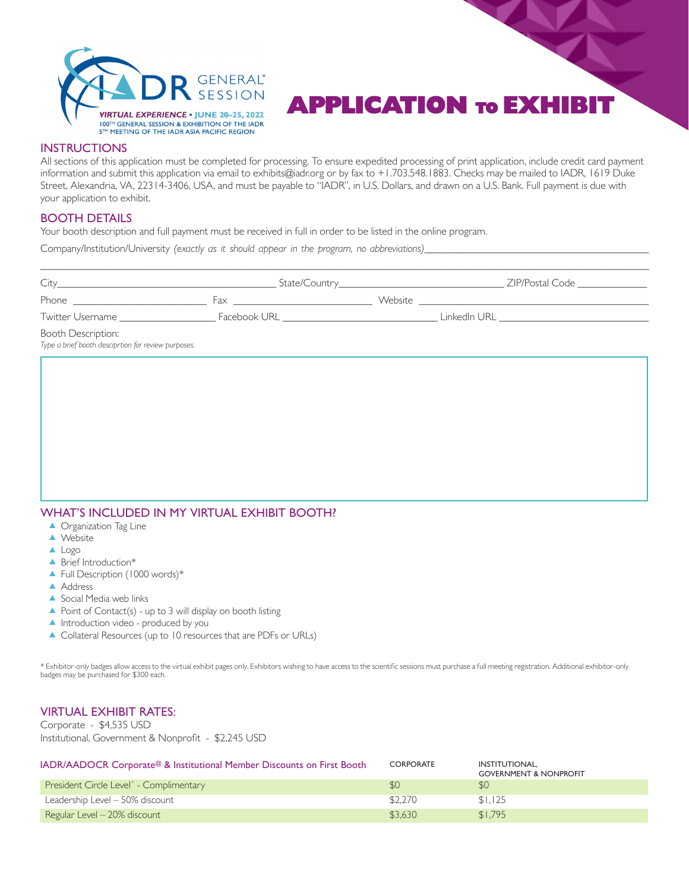

# **APPLICATION TO EXHIB**

#### **INSTRUCTIONS**

All sections of this application must be completed for processing. To ensure expedited processing of print application, include credit card payment information and submit this application via email to exhibits@iadr.org or by fax to +1.703.548.1883. Checks may be mailed to IADR, 1619 Duke Street, Alexandria, VA, 22314-3406, USA, and must be payable to "IADR", in U.S. Dollars, and drawn on a U.S. Bank. Full payment is due with your application to exhibit.

#### BOOTH DETAILS

Your booth description and full payment must be received in full in order to be listed in the online program.

Company/Institution/University (exactly as it should appear in the program, no abbreviations)

| City_                                                                            |                                                                                                                                                                                                                                |  | ZIP/Postal Code                  |
|----------------------------------------------------------------------------------|--------------------------------------------------------------------------------------------------------------------------------------------------------------------------------------------------------------------------------|--|----------------------------------|
|                                                                                  | hax are a structured by the structure of the structure of the structure of the structure of the structure of the structure of the structure of the structure of the structure of the structure of the structure of the structu |  |                                  |
| Twitter Username                                                                 | Facebook URL <b>Example 1996</b>                                                                                                                                                                                               |  | LinkedIn URL <b>Example 1996</b> |
| <b>Booth Description:</b><br>Type a brief booth desciprtion for review purposes. |                                                                                                                                                                                                                                |  |                                  |

## WHAT'S INCLUDED IN MY VIRTUAL EXHIBIT BOOTH?

- ▲ Organization Tag Line
- ▲ Website
- ▲ Logo
- ▲ Brief Introduction<sup>\*</sup>
- ▲ Full Description (1000 words)\*
- ▲ Address
- ▲ Social Media web links
- ▲ Point of Contact(s) up to 3 will display on booth listing
- ▲ Introduction video produced by you
- ▲ Collateral Resources (up to 10 resources that are PDFs or URLs)

\* Exhibitor-only badges allow access to the virtual exhibit pages only. Exhibitors wishing to have access to the scientific sessions must purchase a full meeting registration. Additional exhibitor-only badges may be purchased for \$300 each.

#### VIRTUAL EXHIBIT RATES:

Corporate - \$4,535 USD Institutional, Government & Nonprofit - \$2,245 USD

| IADR/AADOCR Corporate <sup>@</sup> & Institutional Member Discounts on First Booth | <b>CORPORATE</b> | INSTITUTIONAL.<br><b>GOVERNMENT &amp; NONPROFIT</b> |
|------------------------------------------------------------------------------------|------------------|-----------------------------------------------------|
| President Circle Level <sup>^</sup> - Complimentary                                | \$0              | <sup>50</sup>                                       |
| Leadership Level - 50% discount                                                    | \$2,270          | \$1.125                                             |
| Regular Level - 20% discount                                                       | \$3.630          | \$1.795                                             |